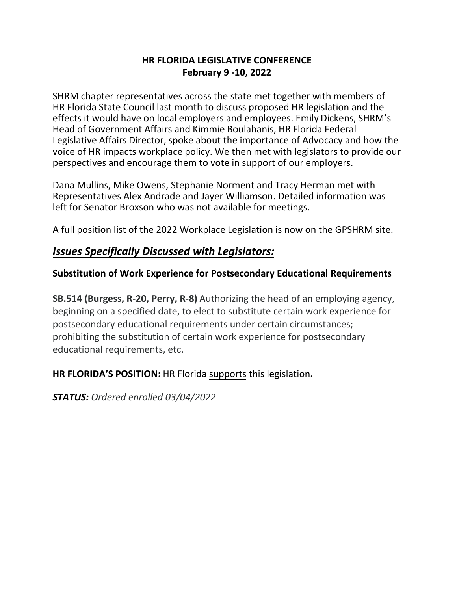#### **HR FLORIDA LEGISLATIVE CONFERENCE February 9 -10, 2022**

SHRM chapter representatives across the state met together with members of HR Florida State Council last month to discuss proposed HR legislation and the effects it would have on local employers and employees. Emily Dickens, SHRM's Head of Government Affairs and Kimmie Boulahanis, HR Florida Federal Legislative Affairs Director, spoke about the importance of Advocacy and how the voice of HR impacts workplace policy. We then met with legislators to provide our perspectives and encourage them to vote in support of our employers.

Dana Mullins, Mike Owens, Stephanie Norment and Tracy Herman met with Representatives Alex Andrade and Jayer Williamson. Detailed information was left for Senator Broxson who was not available for meetings.

A full position list of the 2022 Workplace Legislation is now on the GPSHRM site.

#### *Issues Specifically Discussed with Legislators:*

#### **Substitution of Work Experience for Postsecondary Educational Requirements**

**SB.514 (Burgess, R-20, Perry, R-8)** Authorizing the head of an employing agency, beginning on a specified date, to elect to substitute certain work experience for postsecondary educational requirements under certain circumstances; prohibiting the substitution of certain work experience for postsecondary educational requirements, etc.

**HR FLORIDA'S POSITION:** HR Florida supports this legislation**.**

*STATUS: Ordered enrolled 03/04/2022*